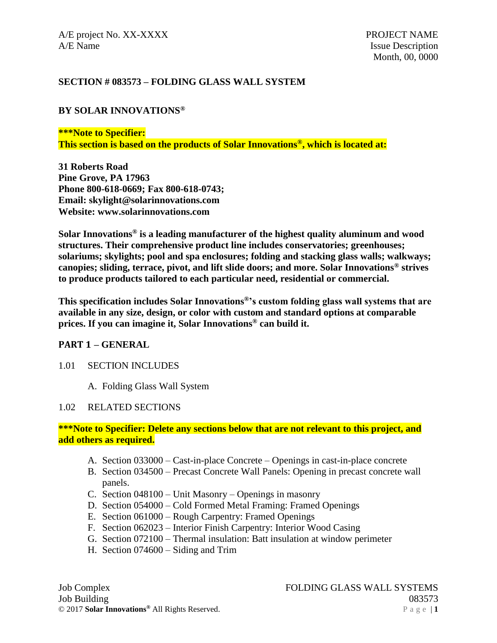### **SECTION # 083573 – FOLDING GLASS WALL SYSTEM**

### **BY SOLAR INNOVATIONS®**

#### **\*\*\*Note to Specifier:**

**This section is based on the products of Solar Innovations®, which is located at:**

**31 Roberts Road Pine Grove, PA 17963 Phone 800-618-0669; Fax 800-618-0743; Email: skylight@solarinnovations.com Website: www.solarinnovations.com**

**Solar Innovations® is a leading manufacturer of the highest quality aluminum and wood structures. Their comprehensive product line includes conservatories; greenhouses; solariums; skylights; pool and spa enclosures; folding and stacking glass walls; walkways; canopies; sliding, terrace, pivot, and lift slide doors; and more. Solar Innovations® strives to produce products tailored to each particular need, residential or commercial.**

**This specification includes Solar Innovations®'s custom folding glass wall systems that are available in any size, design, or color with custom and standard options at comparable prices. If you can imagine it, Solar Innovations® can build it.**

### **PART 1 – GENERAL**

### 1.01 SECTION INCLUDES

A. Folding Glass Wall System

### 1.02 RELATED SECTIONS

### **\*\*\*Note to Specifier: Delete any sections below that are not relevant to this project, and add others as required.**

- A. Section 033000 Cast-in-place Concrete Openings in cast-in-place concrete
- B. Section 034500 Precast Concrete Wall Panels: Opening in precast concrete wall panels.
- C. Section 048100 Unit Masonry Openings in masonry
- D. Section 054000 Cold Formed Metal Framing: Framed Openings
- E. Section 061000 Rough Carpentry: Framed Openings
- F. Section 062023 Interior Finish Carpentry: Interior Wood Casing
- G. Section 072100 Thermal insulation: Batt insulation at window perimeter
- H. Section 074600 Siding and Trim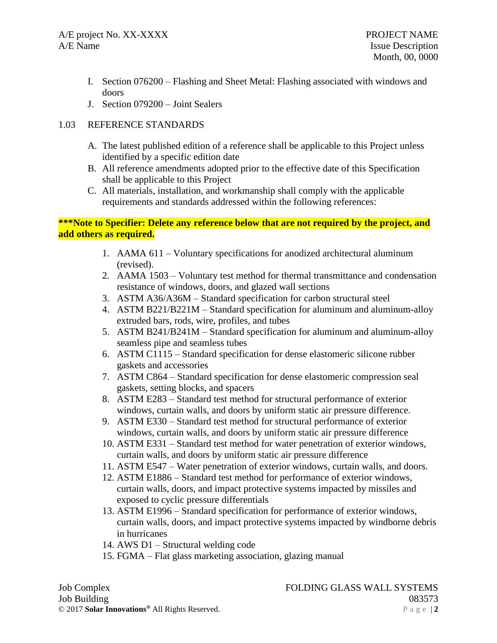- I. Section 076200 Flashing and Sheet Metal: Flashing associated with windows and doors
- J. Section 079200 Joint Sealers

# 1.03 REFERENCE STANDARDS

- A. The latest published edition of a reference shall be applicable to this Project unless identified by a specific edition date
- B. All reference amendments adopted prior to the effective date of this Specification shall be applicable to this Project
- C. All materials, installation, and workmanship shall comply with the applicable requirements and standards addressed within the following references:

# **\*\*\*Note to Specifier: Delete any reference below that are not required by the project, and add others as required.**

- 1. AAMA 611 Voluntary specifications for anodized architectural aluminum (revised).
- 2. AAMA 1503 Voluntary test method for thermal transmittance and condensation resistance of windows, doors, and glazed wall sections
- 3. ASTM A36/A36M Standard specification for carbon structural steel
- 4. ASTM B221/B221M Standard specification for aluminum and aluminum-alloy extruded bars, rods, wire, profiles, and tubes
- 5. ASTM B241/B241M Standard specification for aluminum and aluminum-alloy seamless pipe and seamless tubes
- 6. ASTM C1115 Standard specification for dense elastomeric silicone rubber gaskets and accessories
- 7. ASTM C864 Standard specification for dense elastomeric compression seal gaskets, setting blocks, and spacers
- 8. ASTM E283 Standard test method for structural performance of exterior windows, curtain walls, and doors by uniform static air pressure difference.
- 9. ASTM E330 Standard test method for structural performance of exterior windows, curtain walls, and doors by uniform static air pressure difference
- 10. ASTM E331 Standard test method for water penetration of exterior windows, curtain walls, and doors by uniform static air pressure difference
- 11. ASTM E547 Water penetration of exterior windows, curtain walls, and doors.
- 12. ASTM E1886 Standard test method for performance of exterior windows, curtain walls, doors, and impact protective systems impacted by missiles and exposed to cyclic pressure differentials
- 13. ASTM E1996 Standard specification for performance of exterior windows, curtain walls, doors, and impact protective systems impacted by windborne debris in hurricanes
- 14. AWS D1 Structural welding code
- 15. FGMA Flat glass marketing association, glazing manual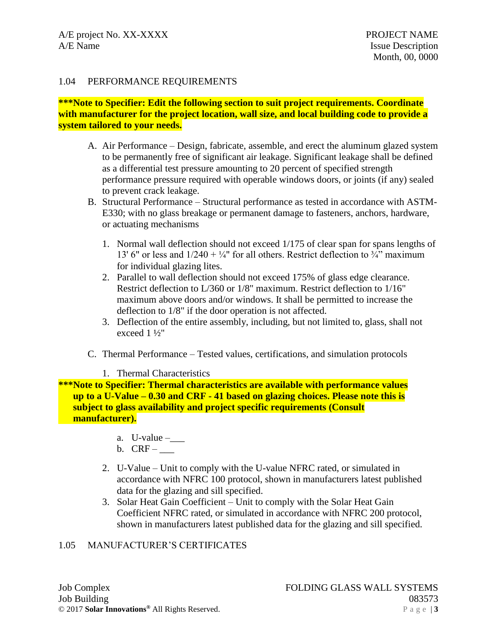### 1.04 PERFORMANCE REQUIREMENTS

### **\*\*\*Note to Specifier: Edit the following section to suit project requirements. Coordinate with manufacturer for the project location, wall size, and local building code to provide a system tailored to your needs.**

- A. Air Performance Design, fabricate, assemble, and erect the aluminum glazed system to be permanently free of significant air leakage. Significant leakage shall be defined as a differential test pressure amounting to 20 percent of specified strength performance pressure required with operable windows doors, or joints (if any) sealed to prevent crack leakage.
- B. Structural Performance Structural performance as tested in accordance with ASTM-E330; with no glass breakage or permanent damage to fasteners, anchors, hardware, or actuating mechanisms
	- 1. Normal wall deflection should not exceed 1/175 of clear span for spans lengths of 13' 6" or less and  $1/240 + \frac{1}{4}$ " for all others. Restrict deflection to  $\frac{3}{4}$ " maximum for individual glazing lites.
	- 2. Parallel to wall deflection should not exceed 175% of glass edge clearance. Restrict deflection to L/360 or 1/8" maximum. Restrict deflection to 1/16" maximum above doors and/or windows. It shall be permitted to increase the deflection to 1/8" if the door operation is not affected.
	- 3. Deflection of the entire assembly, including, but not limited to, glass, shall not exceed 1 ½"
- C. Thermal Performance Tested values, certifications, and simulation protocols
	- 1. Thermal Characteristics

**\*\*\*Note to Specifier: Thermal characteristics are available with performance values up to a U-Value – 0.30 and CRF - 41 based on glazing choices. Please note this is subject to glass availability and project specific requirements (Consult manufacturer).**

- a.  $U$ -value  $-\underline{\hspace{2cm}}$
- b.  $CRF$   $\_\_$
- 2. U-Value Unit to comply with the U-value NFRC rated, or simulated in accordance with NFRC 100 protocol, shown in manufacturers latest published data for the glazing and sill specified.
- 3. Solar Heat Gain Coefficient Unit to comply with the Solar Heat Gain Coefficient NFRC rated, or simulated in accordance with NFRC 200 protocol, shown in manufacturers latest published data for the glazing and sill specified.

### 1.05 MANUFACTURER'S CERTIFICATES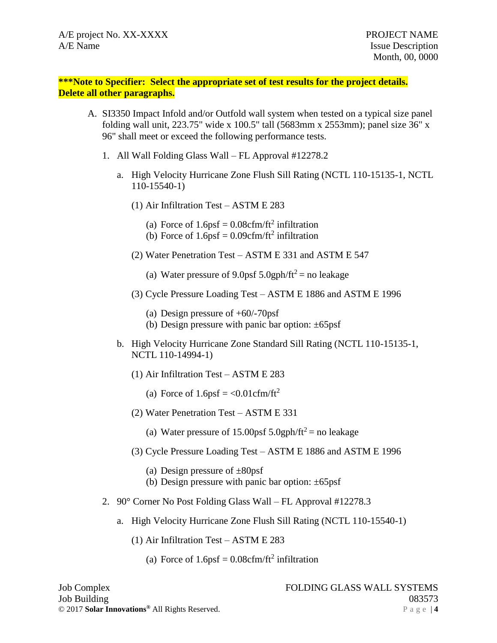**\*\*\*Note to Specifier: Select the appropriate set of test results for the project details. Delete all other paragraphs.**

- A. SI3350 Impact Infold and/or Outfold wall system when tested on a typical size panel folding wall unit, 223.75" wide x 100.5" tall (5683mm x 2553mm); panel size 36" x 96" shall meet or exceed the following performance tests.
	- 1. All Wall Folding Glass Wall FL Approval #12278.2
		- a. High Velocity Hurricane Zone Flush Sill Rating (NCTL 110-15135-1, NCTL 110-15540-1)
			- (1) Air Infiltration Test ASTM E 283
				- (a) Force of  $1.6 \text{psf} = 0.08 \text{cfm/ft}^2$  infiltration
				- (b) Force of  $1.6 \text{psf} = 0.09 \text{cfm/ft}^2$  infiltration
			- (2) Water Penetration Test ASTM E 331 and ASTM E 547
				- (a) Water pressure of 9.0psf  $5.0$ gph/ft<sup>2</sup> = no leakage
			- (3) Cycle Pressure Loading Test ASTM E 1886 and ASTM E 1996
				- (a) Design pressure of +60/-70psf
				- (b) Design pressure with panic bar option: ±65psf
		- b. High Velocity Hurricane Zone Standard Sill Rating (NCTL 110-15135-1, NCTL 110-14994-1)
			- (1) Air Infiltration Test ASTM E 283
				- (a) Force of  $1.6 \text{psf} = \langle 0.01 \text{cfm/ft}^2 \rangle$
			- (2) Water Penetration Test ASTM E 331
				- (a) Water pressure of 15.00psf  $5.0$ gph/ft<sup>2</sup> = no leakage
			- (3) Cycle Pressure Loading Test ASTM E 1886 and ASTM E 1996
				- (a) Design pressure of  $\pm 80$ psf
				- (b) Design pressure with panic bar option:  $\pm 65$ psf
	- 2. 90° Corner No Post Folding Glass Wall FL Approval #12278.3
		- a. High Velocity Hurricane Zone Flush Sill Rating (NCTL 110-15540-1)
			- (1) Air Infiltration Test ASTM E 283
				- (a) Force of  $1.6 \text{psf} = 0.08 \text{cfm/ft}^2$  infiltration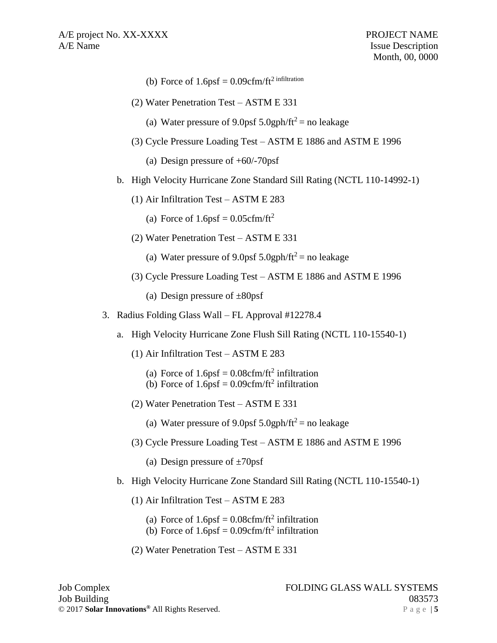- (b) Force of  $1.6$ psf =  $0.09$ cfm/ft<sup>2</sup> infiltration
- (2) Water Penetration Test ASTM E 331
	- (a) Water pressure of 9.0psf  $5.0$ gph/ft<sup>2</sup> = no leakage
- (3) Cycle Pressure Loading Test ASTM E 1886 and ASTM E 1996
	- (a) Design pressure of +60/-70psf
- b. High Velocity Hurricane Zone Standard Sill Rating (NCTL 110-14992-1)
	- (1) Air Infiltration Test ASTM E 283
		- (a) Force of  $1.6$ psf =  $0.05$ cfm/ft<sup>2</sup>
	- (2) Water Penetration Test ASTM E 331
		- (a) Water pressure of 9.0psf  $5.0$ gph/ft<sup>2</sup> = no leakage
	- (3) Cycle Pressure Loading Test ASTM E 1886 and ASTM E 1996
		- (a) Design pressure of  $\pm 80$ psf
- 3. Radius Folding Glass Wall FL Approval #12278.4
	- a. High Velocity Hurricane Zone Flush Sill Rating (NCTL 110-15540-1)
		- (1) Air Infiltration Test ASTM E 283
			- (a) Force of  $1.6 \text{psf} = 0.08 \text{cfm/ft}^2$  infiltration
			- (b) Force of  $1.6 \text{psf} = 0.09 \text{cfm/ft}^2$  infiltration
		- (2) Water Penetration Test ASTM E 331
			- (a) Water pressure of 9.0psf  $5.0$ gph/ft<sup>2</sup> = no leakage
		- (3) Cycle Pressure Loading Test ASTM E 1886 and ASTM E 1996
			- (a) Design pressure of  $\pm 70$ psf
	- b. High Velocity Hurricane Zone Standard Sill Rating (NCTL 110-15540-1)
		- (1) Air Infiltration Test ASTM E 283
			- (a) Force of  $1.6 \text{psf} = 0.08 \text{cfm/ft}^2$  infiltration
			- (b) Force of  $1.6 \text{psf} = 0.09 \text{cfm/ft}^2$  infiltration
		- (2) Water Penetration Test ASTM E 331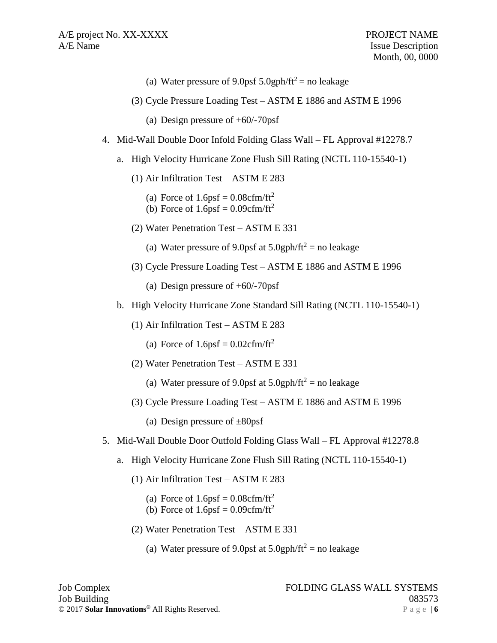- (a) Water pressure of 9.0psf  $5.0$ gph/ft<sup>2</sup> = no leakage
- (3) Cycle Pressure Loading Test ASTM E 1886 and ASTM E 1996
	- (a) Design pressure of +60/-70psf
- 4. Mid-Wall Double Door Infold Folding Glass Wall FL Approval #12278.7
	- a. High Velocity Hurricane Zone Flush Sill Rating (NCTL 110-15540-1)
		- (1) Air Infiltration Test ASTM E 283
			- (a) Force of  $1.6$ psf =  $0.08$ cfm/ft<sup>2</sup>
			- (b) Force of  $1.6$ psf =  $0.09$ cfm/ft<sup>2</sup>
		- (2) Water Penetration Test ASTM E 331
			- (a) Water pressure of 9.0psf at  $5.0$ gph/ft<sup>2</sup> = no leakage
		- (3) Cycle Pressure Loading Test ASTM E 1886 and ASTM E 1996
			- (a) Design pressure of +60/-70psf
	- b. High Velocity Hurricane Zone Standard Sill Rating (NCTL 110-15540-1)
		- (1) Air Infiltration Test ASTM E 283
			- (a) Force of  $1.6 \text{psf} = 0.02 \text{cfm/ft}^2$
		- (2) Water Penetration Test ASTM E 331
			- (a) Water pressure of 9.0psf at  $5.0$ gph/ft<sup>2</sup> = no leakage
		- (3) Cycle Pressure Loading Test ASTM E 1886 and ASTM E 1996
			- (a) Design pressure of  $\pm 80$ psf
- 5. Mid-Wall Double Door Outfold Folding Glass Wall FL Approval #12278.8
	- a. High Velocity Hurricane Zone Flush Sill Rating (NCTL 110-15540-1)
		- (1) Air Infiltration Test ASTM E 283
			- (a) Force of  $1.6$ psf =  $0.08$ cfm/ft<sup>2</sup>
			- (b) Force of  $1.6$ psf =  $0.09$ cfm/ft<sup>2</sup>
		- (2) Water Penetration Test ASTM E 331
			- (a) Water pressure of 9.0psf at  $5.0$ gph/ft<sup>2</sup> = no leakage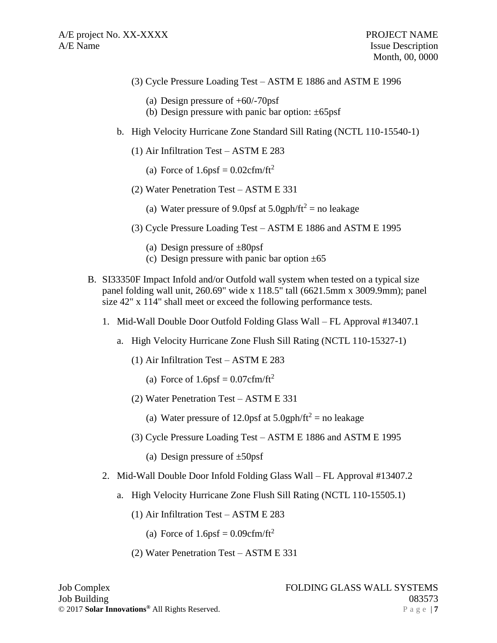- (3) Cycle Pressure Loading Test ASTM E 1886 and ASTM E 1996
	- (a) Design pressure of +60/-70psf
	- (b) Design pressure with panic bar option:  $\pm 65$ psf
- b. High Velocity Hurricane Zone Standard Sill Rating (NCTL 110-15540-1)
	- (1) Air Infiltration Test ASTM E 283
		- (a) Force of  $1.6 \text{psf} = 0.02 \text{cfm/ft}^2$
	- (2) Water Penetration Test ASTM E 331
		- (a) Water pressure of 9.0psf at  $5.0$ gph/ft<sup>2</sup> = no leakage
	- (3) Cycle Pressure Loading Test ASTM E 1886 and ASTM E 1995
		- (a) Design pressure of  $\pm 80$ psf
		- (c) Design pressure with panic bar option  $\pm 65$
- B. SI33350F Impact Infold and/or Outfold wall system when tested on a typical size panel folding wall unit, 260.69" wide x 118.5" tall (6621.5mm x 3009.9mm); panel size 42" x 114" shall meet or exceed the following performance tests.
	- 1. Mid-Wall Double Door Outfold Folding Glass Wall FL Approval #13407.1
		- a. High Velocity Hurricane Zone Flush Sill Rating (NCTL 110-15327-1)
			- (1) Air Infiltration Test ASTM E 283
				- (a) Force of  $1.6$ psf =  $0.07$ cfm/ft<sup>2</sup>
			- (2) Water Penetration Test ASTM E 331
				- (a) Water pressure of 12.0psf at  $5.0$ gph/ft<sup>2</sup> = no leakage
			- (3) Cycle Pressure Loading Test ASTM E 1886 and ASTM E 1995
				- (a) Design pressure of  $\pm 50$ psf
	- 2. Mid-Wall Double Door Infold Folding Glass Wall FL Approval #13407.2
		- a. High Velocity Hurricane Zone Flush Sill Rating (NCTL 110-15505.1)
			- (1) Air Infiltration Test ASTM E 283
				- (a) Force of  $1.6$ psf =  $0.09$ cfm/ft<sup>2</sup>
			- (2) Water Penetration Test ASTM E 331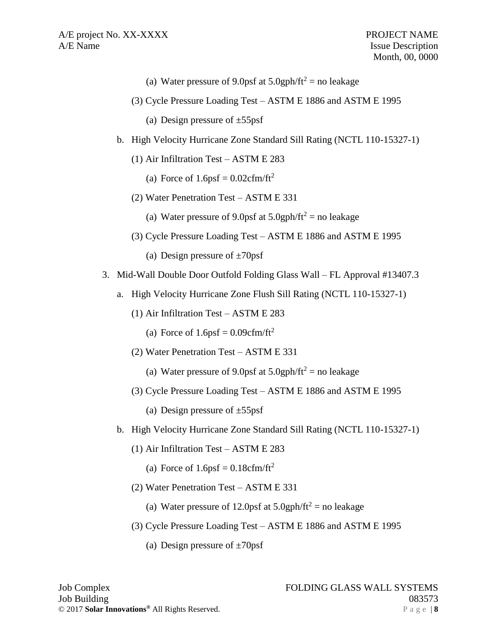- (a) Water pressure of 9.0psf at  $5.0$ gph/ft<sup>2</sup> = no leakage
- (3) Cycle Pressure Loading Test ASTM E 1886 and ASTM E 1995
	- (a) Design pressure of  $\pm 55$ psf
- b. High Velocity Hurricane Zone Standard Sill Rating (NCTL 110-15327-1)
	- (1) Air Infiltration Test ASTM E 283
		- (a) Force of  $1.6 \text{psf} = 0.02 \text{cfm/ft}^2$
	- (2) Water Penetration Test ASTM E 331
		- (a) Water pressure of 9.0psf at  $5.0$ gph/ft<sup>2</sup> = no leakage
	- (3) Cycle Pressure Loading Test ASTM E 1886 and ASTM E 1995
		- (a) Design pressure of  $\pm 70$ psf
- 3. Mid-Wall Double Door Outfold Folding Glass Wall FL Approval #13407.3
	- a. High Velocity Hurricane Zone Flush Sill Rating (NCTL 110-15327-1)
		- (1) Air Infiltration Test ASTM E 283
			- (a) Force of  $1.6$ psf = 0.09cfm/ft<sup>2</sup>
		- (2) Water Penetration Test ASTM E 331
			- (a) Water pressure of 9.0psf at  $5.0$ gph/ft<sup>2</sup> = no leakage
		- (3) Cycle Pressure Loading Test ASTM E 1886 and ASTM E 1995
			- (a) Design pressure of  $\pm 55$ psf
	- b. High Velocity Hurricane Zone Standard Sill Rating (NCTL 110-15327-1)
		- (1) Air Infiltration Test ASTM E 283
			- (a) Force of  $1.6 \text{psf} = 0.18 \text{cfm/ft}^2$
		- (2) Water Penetration Test ASTM E 331
			- (a) Water pressure of 12.0psf at  $5.0$ gph/ft<sup>2</sup> = no leakage
		- (3) Cycle Pressure Loading Test ASTM E 1886 and ASTM E 1995
			- (a) Design pressure of  $\pm 70$ psf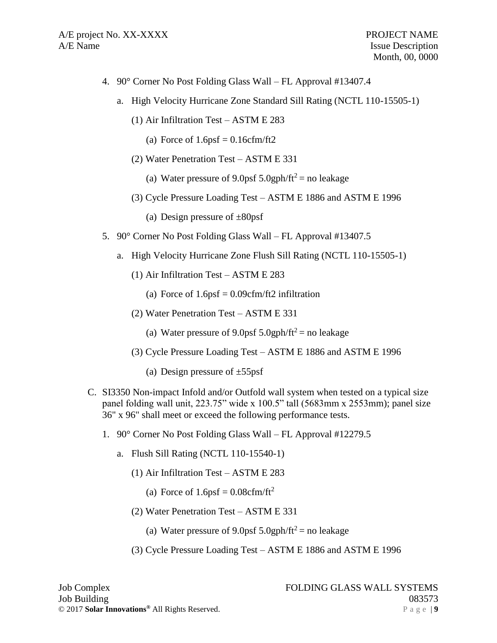- 4. 90° Corner No Post Folding Glass Wall FL Approval #13407.4
	- a. High Velocity Hurricane Zone Standard Sill Rating (NCTL 110-15505-1)
		- (1) Air Infiltration Test ASTM E 283
			- (a) Force of  $1.6$ psf =  $0.16$ cfm/ft2
		- (2) Water Penetration Test ASTM E 331
			- (a) Water pressure of 9.0psf  $5.0$ gph/ft<sup>2</sup> = no leakage
		- (3) Cycle Pressure Loading Test ASTM E 1886 and ASTM E 1996
			- (a) Design pressure of  $\pm 80$ psf
- 5. 90° Corner No Post Folding Glass Wall FL Approval #13407.5
	- a. High Velocity Hurricane Zone Flush Sill Rating (NCTL 110-15505-1)
		- (1) Air Infiltration Test ASTM E 283
			- (a) Force of  $1.6$ psf = 0.09cfm/ft2 infiltration
		- (2) Water Penetration Test ASTM E 331
			- (a) Water pressure of 9.0psf  $5.0$ gph/ft<sup>2</sup> = no leakage
		- (3) Cycle Pressure Loading Test ASTM E 1886 and ASTM E 1996
			- (a) Design pressure of  $\pm 55$ psf
- C. SI3350 Non-impact Infold and/or Outfold wall system when tested on a typical size panel folding wall unit, 223.75" wide x 100.5" tall (5683mm x 2553mm); panel size 36" x 96" shall meet or exceed the following performance tests.
	- 1. 90° Corner No Post Folding Glass Wall FL Approval #12279.5
		- a. Flush Sill Rating (NCTL 110-15540-1)
			- (1) Air Infiltration Test ASTM E 283
				- (a) Force of  $1.6$ psf =  $0.08$ cfm/ft<sup>2</sup>
			- (2) Water Penetration Test ASTM E 331
				- (a) Water pressure of 9.0psf  $5.0$ gph/ft<sup>2</sup> = no leakage
			- (3) Cycle Pressure Loading Test ASTM E 1886 and ASTM E 1996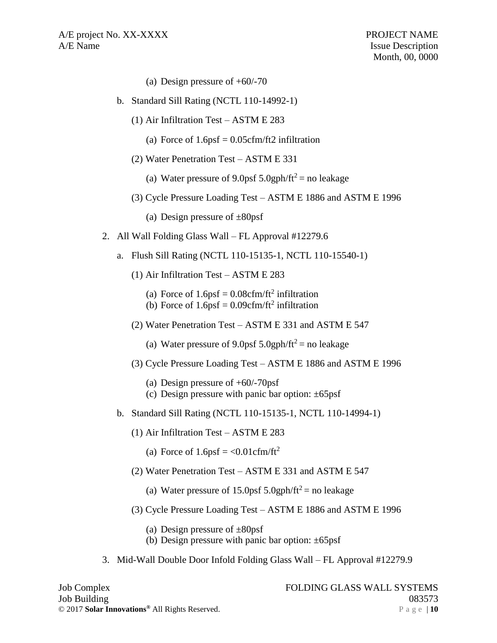- (a) Design pressure of  $+60/-70$
- b. Standard Sill Rating (NCTL 110-14992-1)
	- (1) Air Infiltration Test ASTM E 283
		- (a) Force of  $1.6$ psf = 0.05cfm/ft2 infiltration
	- (2) Water Penetration Test ASTM E 331
		- (a) Water pressure of 9.0psf  $5.0$ gph/ft<sup>2</sup> = no leakage
	- (3) Cycle Pressure Loading Test ASTM E 1886 and ASTM E 1996
		- (a) Design pressure of  $\pm 80$ psf
- 2. All Wall Folding Glass Wall FL Approval #12279.6
	- a. Flush Sill Rating (NCTL 110-15135-1, NCTL 110-15540-1)
		- (1) Air Infiltration Test ASTM E 283
			- (a) Force of  $1.6 \text{psf} = 0.08 \text{cfm/ft}^2$  infiltration
			- (b) Force of  $1.6 \text{psf} = 0.09 \text{cfm/ft}^2$  infiltration
		- (2) Water Penetration Test ASTM E 331 and ASTM E 547
			- (a) Water pressure of 9.0psf 5.0gph/ft<sup>2</sup> = no leakage
		- (3) Cycle Pressure Loading Test ASTM E 1886 and ASTM E 1996
			- (a) Design pressure of +60/-70psf
			- (c) Design pressure with panic bar option:  $\pm 65$ psf
	- b. Standard Sill Rating (NCTL 110-15135-1, NCTL 110-14994-1)
		- (1) Air Infiltration Test ASTM E 283
			- (a) Force of  $1.6$ psf = <0.01cfm/ft<sup>2</sup>
		- (2) Water Penetration Test ASTM E 331 and ASTM E 547
			- (a) Water pressure of 15.0psf 5.0gph/ft<sup>2</sup> = no leakage
		- (3) Cycle Pressure Loading Test ASTM E 1886 and ASTM E 1996
			- (a) Design pressure of  $\pm 80$ psf
			- (b) Design pressure with panic bar option:  $\pm 65$ psf
- 3. Mid-Wall Double Door Infold Folding Glass Wall FL Approval #12279.9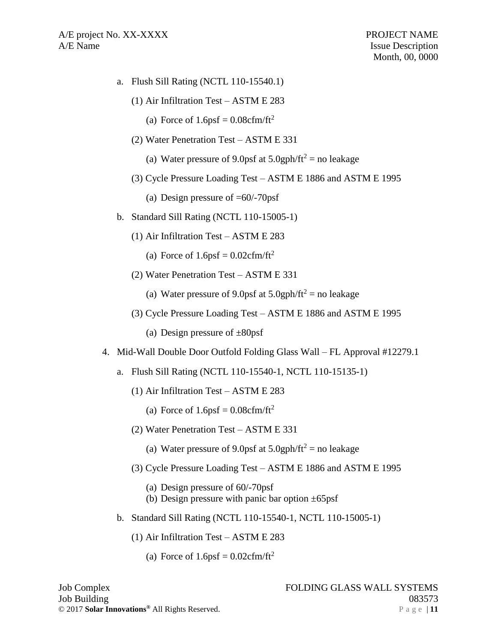- a. Flush Sill Rating (NCTL 110-15540.1)
	- (1) Air Infiltration Test ASTM E 283
		- (a) Force of  $1.6 \text{psf} = 0.08 \text{cfm/ft}^2$
	- (2) Water Penetration Test ASTM E 331
		- (a) Water pressure of 9.0psf at  $5.0$ gph/ft<sup>2</sup> = no leakage
	- (3) Cycle Pressure Loading Test ASTM E 1886 and ASTM E 1995
		- (a) Design pressure of  $=60/-70$ psf
- b. Standard Sill Rating (NCTL 110-15005-1)
	- (1) Air Infiltration Test ASTM E 283
		- (a) Force of  $1.6$ psf =  $0.02$ cfm/ft<sup>2</sup>
	- (2) Water Penetration Test ASTM E 331
		- (a) Water pressure of 9.0psf at  $5.0$ gph/ft<sup>2</sup> = no leakage
	- (3) Cycle Pressure Loading Test ASTM E 1886 and ASTM E 1995
		- (a) Design pressure of  $\pm 80$ psf
- 4. Mid-Wall Double Door Outfold Folding Glass Wall FL Approval #12279.1
	- a. Flush Sill Rating (NCTL 110-15540-1, NCTL 110-15135-1)
		- (1) Air Infiltration Test ASTM E 283
			- (a) Force of  $1.6 \text{psf} = 0.08 \text{cfm/ft}^2$
		- (2) Water Penetration Test ASTM E 331
			- (a) Water pressure of 9.0psf at  $5.0$ gph/ft<sup>2</sup> = no leakage
		- (3) Cycle Pressure Loading Test ASTM E 1886 and ASTM E 1995
			- (a) Design pressure of 60/-70psf
			- (b) Design pressure with panic bar option  $\pm 65$ psf
	- b. Standard Sill Rating (NCTL 110-15540-1, NCTL 110-15005-1)
		- (1) Air Infiltration Test ASTM E 283
			- (a) Force of  $1.6$ psf =  $0.02$ cfm/ft<sup>2</sup>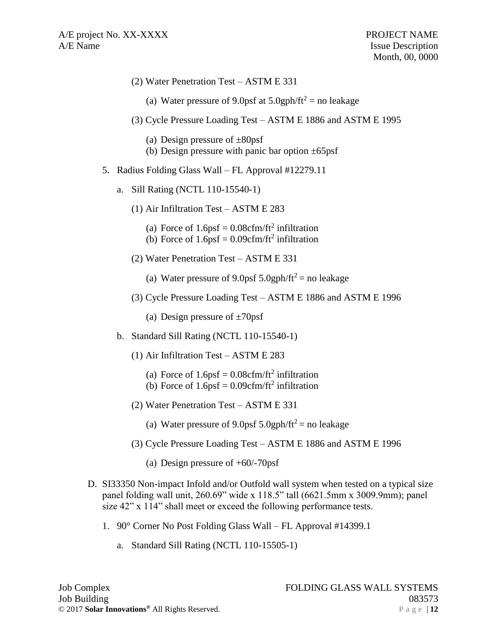- (2) Water Penetration Test ASTM E 331
	- (a) Water pressure of 9.0psf at  $5.0$ gph/ft<sup>2</sup> = no leakage
- (3) Cycle Pressure Loading Test ASTM E 1886 and ASTM E 1995
	- (a) Design pressure of  $\pm 80$ psf
	- (b) Design pressure with panic bar option  $\pm 65$ psf
- 5. Radius Folding Glass Wall FL Approval #12279.11
	- a. Sill Rating (NCTL 110-15540-1)
		- (1) Air Infiltration Test ASTM E 283
			- (a) Force of  $1.6 \text{psf} = 0.08 \text{cfm/ft}^2$  infiltration
			- (b) Force of  $1.6\text{psf} = 0.09 \text{cfm/ft}^2$  infiltration
		- (2) Water Penetration Test ASTM E 331
			- (a) Water pressure of 9.0psf  $5.0$ gph/ft<sup>2</sup> = no leakage
		- (3) Cycle Pressure Loading Test ASTM E 1886 and ASTM E 1996
			- (a) Design pressure of  $\pm 70$ psf
	- b. Standard Sill Rating (NCTL 110-15540-1)
		- (1) Air Infiltration Test ASTM E 283
			- (a) Force of  $1.6 \text{psf} = 0.08 \text{cfm/ft}^2$  infiltration
			- (b) Force of  $1.6 \text{psf} = 0.09 \text{cfm/ft}^2$  infiltration
		- (2) Water Penetration Test ASTM E 331
			- (a) Water pressure of 9.0psf  $5.0$ gph/ft<sup>2</sup> = no leakage
		- (3) Cycle Pressure Loading Test ASTM E 1886 and ASTM E 1996
			- (a) Design pressure of +60/-70psf
- D. SI33350 Non-impact Infold and/or Outfold wall system when tested on a typical size panel folding wall unit, 260.69" wide x 118.5" tall (6621.5mm x 3009.9mm); panel size 42" x 114" shall meet or exceed the following performance tests.
	- 1. 90° Corner No Post Folding Glass Wall FL Approval #14399.1
		- a. Standard Sill Rating (NCTL 110-15505-1)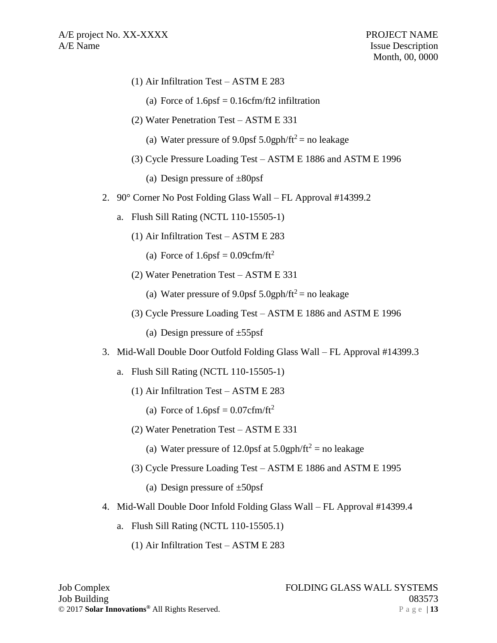- (1) Air Infiltration Test ASTM E 283
	- (a) Force of  $1.6$ psf = 0.16cfm/ft2 infiltration
- (2) Water Penetration Test ASTM E 331
	- (a) Water pressure of 9.0psf  $5.0$ gph/ft<sup>2</sup> = no leakage
- (3) Cycle Pressure Loading Test ASTM E 1886 and ASTM E 1996
	- (a) Design pressure of  $\pm 80$ psf
- 2. 90° Corner No Post Folding Glass Wall FL Approval #14399.2
	- a. Flush Sill Rating (NCTL 110-15505-1)
		- (1) Air Infiltration Test ASTM E 283
			- (a) Force of  $1.6$ psf =  $0.09$ cfm/ft<sup>2</sup>
		- (2) Water Penetration Test ASTM E 331
			- (a) Water pressure of 9.0psf  $5.0$ gph/ft<sup>2</sup> = no leakage
		- (3) Cycle Pressure Loading Test ASTM E 1886 and ASTM E 1996
			- (a) Design pressure of  $\pm 55$ psf
- 3. Mid-Wall Double Door Outfold Folding Glass Wall FL Approval #14399.3
	- a. Flush Sill Rating (NCTL 110-15505-1)
		- (1) Air Infiltration Test ASTM E 283
			- (a) Force of  $1.6 \text{psf} = 0.07 \text{cfm/ft}^2$
		- (2) Water Penetration Test ASTM E 331
			- (a) Water pressure of 12.0psf at  $5.0$ gph/ft<sup>2</sup> = no leakage
		- (3) Cycle Pressure Loading Test ASTM E 1886 and ASTM E 1995
			- (a) Design pressure of  $\pm 50$ psf
- 4. Mid-Wall Double Door Infold Folding Glass Wall FL Approval #14399.4
	- a. Flush Sill Rating (NCTL 110-15505.1)
		- (1) Air Infiltration Test ASTM E 283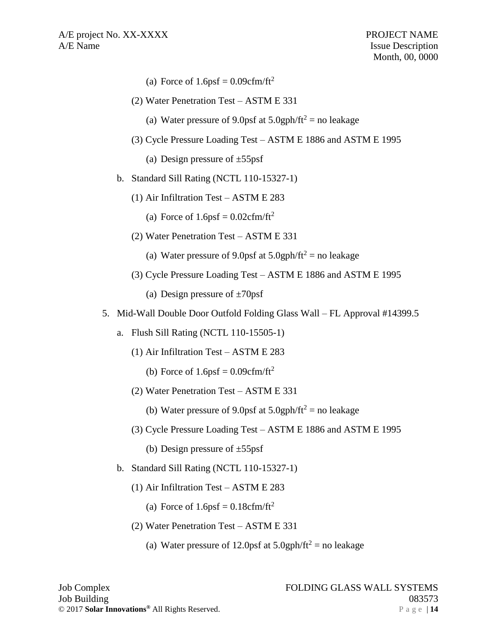- (a) Force of  $1.6$ psf =  $0.09$ cfm/ft<sup>2</sup>
- (2) Water Penetration Test ASTM E 331
	- (a) Water pressure of 9.0psf at  $5.0$ gph/ft<sup>2</sup> = no leakage
- (3) Cycle Pressure Loading Test ASTM E 1886 and ASTM E 1995

(a) Design pressure of  $\pm 55$ psf

- b. Standard Sill Rating (NCTL 110-15327-1)
	- (1) Air Infiltration Test ASTM E 283
		- (a) Force of  $1.6 \text{psf} = 0.02 \text{cfm/ft}^2$
	- (2) Water Penetration Test ASTM E 331
		- (a) Water pressure of 9.0psf at  $5.0$ gph/ft<sup>2</sup> = no leakage
	- (3) Cycle Pressure Loading Test ASTM E 1886 and ASTM E 1995
		- (a) Design pressure of  $\pm 70$ psf
- 5. Mid-Wall Double Door Outfold Folding Glass Wall FL Approval #14399.5
	- a. Flush Sill Rating (NCTL 110-15505-1)
		- (1) Air Infiltration Test ASTM E 283
			- (b) Force of  $1.6$ psf =  $0.09$ cfm/ft<sup>2</sup>
		- (2) Water Penetration Test ASTM E 331
			- (b) Water pressure of 9.0psf at  $5.0$ gph/ft<sup>2</sup> = no leakage
		- (3) Cycle Pressure Loading Test ASTM E 1886 and ASTM E 1995
			- (b) Design pressure of  $\pm 55$ psf
	- b. Standard Sill Rating (NCTL 110-15327-1)
		- (1) Air Infiltration Test ASTM E 283
			- (a) Force of  $1.6$ psf =  $0.18$ cfm/ft<sup>2</sup>
		- (2) Water Penetration Test ASTM E 331
			- (a) Water pressure of 12.0psf at  $5.0$ gph/ft<sup>2</sup> = no leakage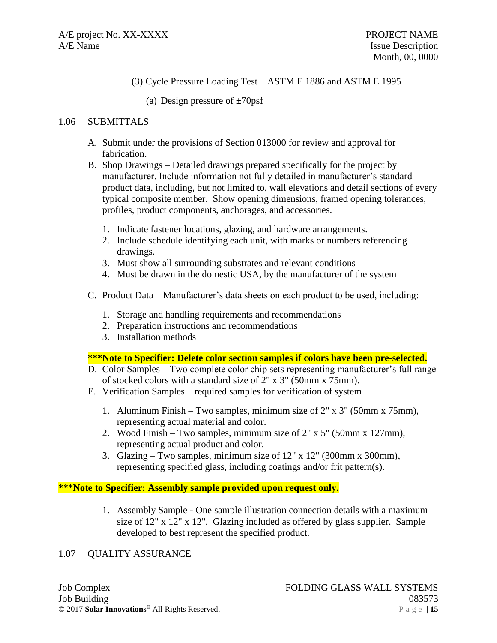## (3) Cycle Pressure Loading Test – ASTM E 1886 and ASTM E 1995

(a) Design pressure of  $\pm 70$ psf

#### 1.06 SUBMITTALS

- A. Submit under the provisions of Section 013000 for review and approval for fabrication.
- B. Shop Drawings Detailed drawings prepared specifically for the project by manufacturer. Include information not fully detailed in manufacturer's standard product data, including, but not limited to, wall elevations and detail sections of every typical composite member. Show opening dimensions, framed opening tolerances, profiles, product components, anchorages, and accessories.
	- 1. Indicate fastener locations, glazing, and hardware arrangements.
	- 2. Include schedule identifying each unit, with marks or numbers referencing drawings.
	- 3. Must show all surrounding substrates and relevant conditions
	- 4. Must be drawn in the domestic USA, by the manufacturer of the system
- C. Product Data Manufacturer's data sheets on each product to be used, including:
	- 1. Storage and handling requirements and recommendations
	- 2. Preparation instructions and recommendations
	- 3. Installation methods

#### **\*\*\*Note to Specifier: Delete color section samples if colors have been pre-selected.**

- D. Color Samples Two complete color chip sets representing manufacturer's full range of stocked colors with a standard size of 2" x 3" (50mm x 75mm).
- E. Verification Samples required samples for verification of system
	- 1. Aluminum Finish Two samples, minimum size of 2" x 3" (50mm x 75mm), representing actual material and color.
	- 2. Wood Finish Two samples, minimum size of 2" x 5" (50mm x 127mm), representing actual product and color.
	- 3. Glazing Two samples, minimum size of 12" x 12" (300mm x 300mm), representing specified glass, including coatings and/or frit pattern(s).

#### **\*\*\*Note to Specifier: Assembly sample provided upon request only.**

1. Assembly Sample - One sample illustration connection details with a maximum size of 12" x 12" x 12". Glazing included as offered by glass supplier. Sample developed to best represent the specified product.

### 1.07 QUALITY ASSURANCE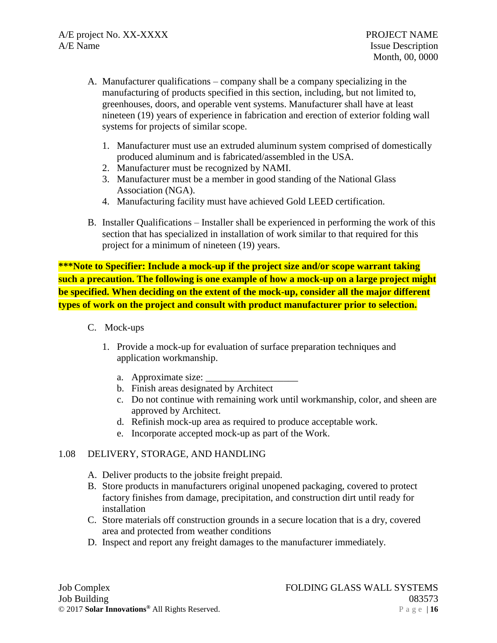- A. Manufacturer qualifications company shall be a company specializing in the manufacturing of products specified in this section, including, but not limited to, greenhouses, doors, and operable vent systems. Manufacturer shall have at least nineteen (19) years of experience in fabrication and erection of exterior folding wall systems for projects of similar scope.
	- 1. Manufacturer must use an extruded aluminum system comprised of domestically produced aluminum and is fabricated/assembled in the USA.
	- 2. Manufacturer must be recognized by NAMI.
	- 3. Manufacturer must be a member in good standing of the National Glass Association (NGA).
	- 4. Manufacturing facility must have achieved Gold LEED certification.
- B. Installer Qualifications Installer shall be experienced in performing the work of this section that has specialized in installation of work similar to that required for this project for a minimum of nineteen (19) years.

**\*\*\*Note to Specifier: Include a mock-up if the project size and/or scope warrant taking such a precaution. The following is one example of how a mock-up on a large project might be specified. When deciding on the extent of the mock-up, consider all the major different types of work on the project and consult with product manufacturer prior to selection.**

- C. Mock-ups
	- 1. Provide a mock-up for evaluation of surface preparation techniques and application workmanship.
		- a. Approximate size:
		- b. Finish areas designated by Architect
		- c. Do not continue with remaining work until workmanship, color, and sheen are approved by Architect.
		- d. Refinish mock-up area as required to produce acceptable work.
		- e. Incorporate accepted mock-up as part of the Work.

### 1.08 DELIVERY, STORAGE, AND HANDLING

- A. Deliver products to the jobsite freight prepaid.
- B. Store products in manufacturers original unopened packaging, covered to protect factory finishes from damage, precipitation, and construction dirt until ready for installation
- C. Store materials off construction grounds in a secure location that is a dry, covered area and protected from weather conditions
- D. Inspect and report any freight damages to the manufacturer immediately.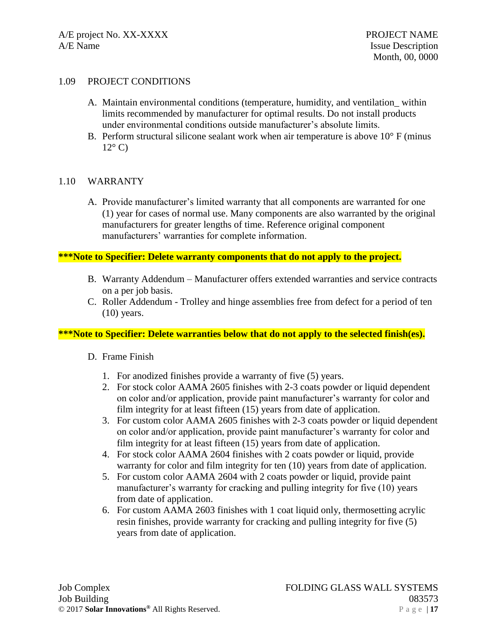### 1.09 PROJECT CONDITIONS

- A. Maintain environmental conditions (temperature, humidity, and ventilation\_ within limits recommended by manufacturer for optimal results. Do not install products under environmental conditions outside manufacturer's absolute limits.
- B. Perform structural silicone sealant work when air temperature is above  $10^{\circ}$  F (minus  $12^{\circ}$  C)

#### 1.10 WARRANTY

A. Provide manufacturer's limited warranty that all components are warranted for one (1) year for cases of normal use. Many components are also warranted by the original manufacturers for greater lengths of time. Reference original component manufacturers' warranties for complete information.

#### **\*\*\*Note to Specifier: Delete warranty components that do not apply to the project.**

- B. Warranty Addendum Manufacturer offers extended warranties and service contracts on a per job basis.
- C. Roller Addendum Trolley and hinge assemblies free from defect for a period of ten  $(10)$  years.

### **\*\*\*Note to Specifier: Delete warranties below that do not apply to the selected finish(es).**

- D. Frame Finish
	- 1. For anodized finishes provide a warranty of five (5) years.
	- 2. For stock color AAMA 2605 finishes with 2-3 coats powder or liquid dependent on color and/or application, provide paint manufacturer's warranty for color and film integrity for at least fifteen (15) years from date of application.
	- 3. For custom color AAMA 2605 finishes with 2-3 coats powder or liquid dependent on color and/or application, provide paint manufacturer's warranty for color and film integrity for at least fifteen (15) years from date of application.
	- 4. For stock color AAMA 2604 finishes with 2 coats powder or liquid, provide warranty for color and film integrity for ten (10) years from date of application.
	- 5. For custom color AAMA 2604 with 2 coats powder or liquid, provide paint manufacturer's warranty for cracking and pulling integrity for five (10) years from date of application.
	- 6. For custom AAMA 2603 finishes with 1 coat liquid only, thermosetting acrylic resin finishes, provide warranty for cracking and pulling integrity for five (5) years from date of application.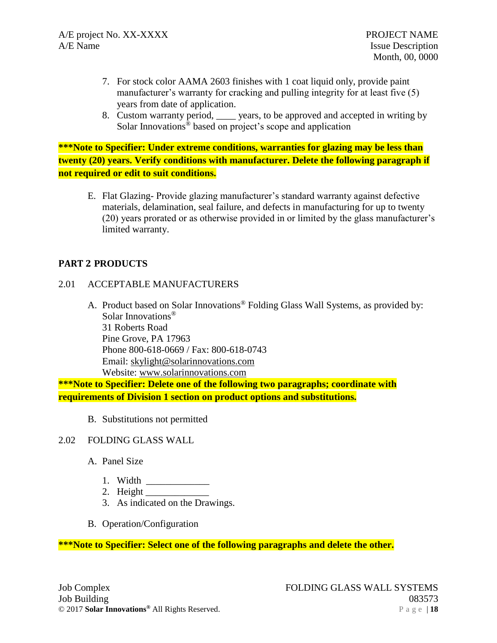- 7. For stock color AAMA 2603 finishes with 1 coat liquid only, provide paint manufacturer's warranty for cracking and pulling integrity for at least five (5) years from date of application.
- 8. Custom warranty period, \_\_\_\_ years, to be approved and accepted in writing by Solar Innovations® based on project's scope and application

**\*\*\*Note to Specifier: Under extreme conditions, warranties for glazing may be less than twenty (20) years. Verify conditions with manufacturer. Delete the following paragraph if not required or edit to suit conditions.**

E. Flat Glazing- Provide glazing manufacturer's standard warranty against defective materials, delamination, seal failure, and defects in manufacturing for up to twenty (20) years prorated or as otherwise provided in or limited by the glass manufacturer's limited warranty.

# **PART 2 PRODUCTS**

### 2.01 ACCEPTABLE MANUFACTURERS

A. Product based on Solar Innovations® Folding Glass Wall Systems, as provided by: Solar Innovations® 31 Roberts Road Pine Grove, PA 17963 Phone 800-618-0669 / Fax: 800-618-0743 Email: [skylight@solarinnovations.com](mailto:skylight@solarinnovations.com) Website: [www.solarinnovations.com](http://www.solarinnovations.com/)

**\*\*\*Note to Specifier: Delete one of the following two paragraphs; coordinate with requirements of Division 1 section on product options and substitutions.**

B. Substitutions not permitted

### 2.02 FOLDING GLASS WALL

- A. Panel Size
	- 1. Width \_\_\_\_\_\_\_\_\_\_\_\_\_
	- 2. Height  $\overline{\phantom{a}}$
	- 3. As indicated on the Drawings.
- B. Operation/Configuration

**\*\*\*Note to Specifier: Select one of the following paragraphs and delete the other.**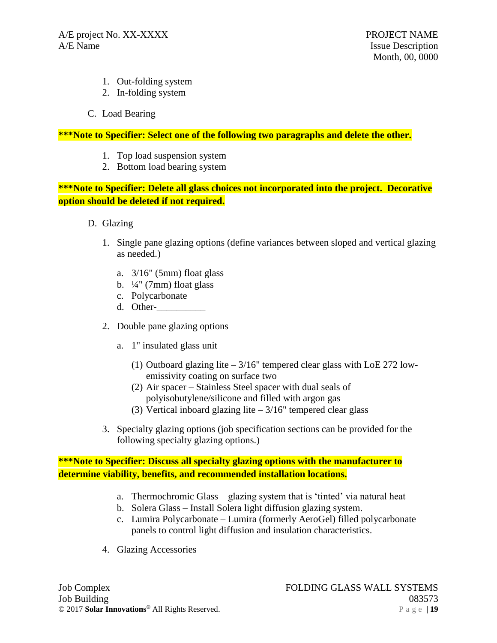- 1. Out-folding system
- 2. In-folding system
- C. Load Bearing

**\*\*\*Note to Specifier: Select one of the following two paragraphs and delete the other.**

- 1. Top load suspension system
- 2. Bottom load bearing system

**\*\*\*Note to Specifier: Delete all glass choices not incorporated into the project. Decorative option should be deleted if not required.**

- D. Glazing
	- 1. Single pane glazing options (define variances between sloped and vertical glazing as needed.)
		- a.  $3/16$ " (5mm) float glass
		- b.  $\frac{1}{4}$ " (7mm) float glass
		- c. Polycarbonate
		- d. Other-\_\_\_\_\_\_\_\_\_\_
	- 2. Double pane glazing options
		- a. 1" insulated glass unit
			- (1) Outboard glazing lite 3/16" tempered clear glass with LoE 272 lowemissivity coating on surface two
			- (2) Air spacer Stainless Steel spacer with dual seals of polyisobutylene/silicone and filled with argon gas
			- (3) Vertical inboard glazing lite  $-3/16$ " tempered clear glass
	- 3. Specialty glazing options (job specification sections can be provided for the following specialty glazing options.)

**\*\*\*Note to Specifier: Discuss all specialty glazing options with the manufacturer to determine viability, benefits, and recommended installation locations.**

- a. Thermochromic Glass glazing system that is 'tinted' via natural heat
- b. Solera Glass Install Solera light diffusion glazing system.
- c. Lumira Polycarbonate Lumira (formerly AeroGel) filled polycarbonate panels to control light diffusion and insulation characteristics.
- 4. Glazing Accessories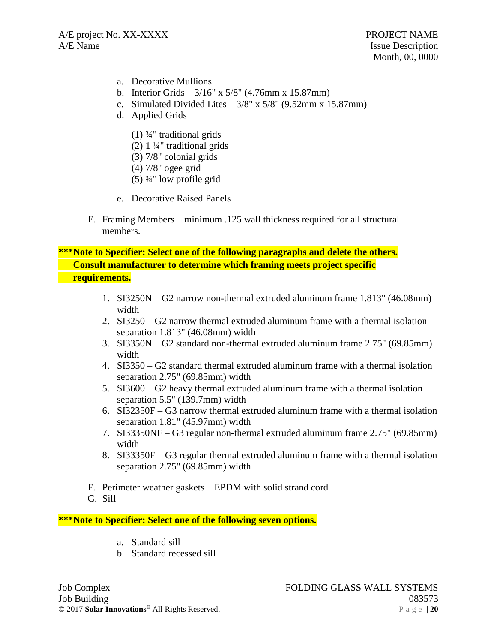- a. Decorative Mullions
- b. Interior Grids  $3/16''$  x  $5/8''$  (4.76mm x 15.87mm)
- c. Simulated Divided Lites  $3/8$ " x  $5/8$ " (9.52mm x 15.87mm)
- d. Applied Grids
	- (1)  $\frac{3}{4}$ " traditional grids
	- (2) 1 ¼" traditional grids
	- (3) 7/8" colonial grids
	- (4) 7/8" ogee grid
	- $(5)$   $\frac{3}{4}$ " low profile grid
- e. Decorative Raised Panels
- E. Framing Members minimum .125 wall thickness required for all structural members.

**\*\*\*Note to Specifier: Select one of the following paragraphs and delete the others. Consult manufacturer to determine which framing meets project specific requirements.**

- 1. SI3250N G2 narrow non-thermal extruded aluminum frame 1.813" (46.08mm) width
- 2. SI3250 G2 narrow thermal extruded aluminum frame with a thermal isolation separation 1.813" (46.08mm) width
- 3. SI3350N G2 standard non-thermal extruded aluminum frame 2.75" (69.85mm) width
- 4. SI3350 G2 standard thermal extruded aluminum frame with a thermal isolation separation 2.75" (69.85mm) width
- 5. SI3600 G2 heavy thermal extruded aluminum frame with a thermal isolation separation 5.5" (139.7mm) width
- 6. SI32350F G3 narrow thermal extruded aluminum frame with a thermal isolation separation 1.81" (45.97mm) width
- 7. SI33350NF G3 regular non-thermal extruded aluminum frame 2.75" (69.85mm) width
- 8. SI33350F G3 regular thermal extruded aluminum frame with a thermal isolation separation 2.75" (69.85mm) width
- F. Perimeter weather gaskets EPDM with solid strand cord
- G. Sill

**\*\*\*Note to Specifier: Select one of the following seven options.** 

- a. Standard sill
- b. Standard recessed sill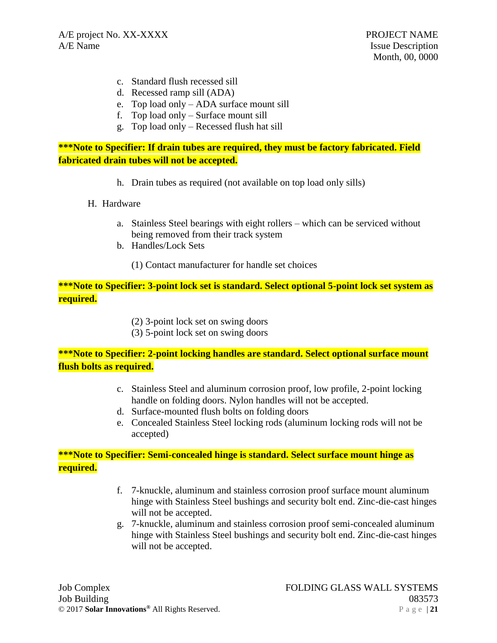- c. Standard flush recessed sill
- d. Recessed ramp sill (ADA)
- e. Top load only ADA surface mount sill
- f. Top load only Surface mount sill
- g. Top load only Recessed flush hat sill

**\*\*\*Note to Specifier: If drain tubes are required, they must be factory fabricated. Field fabricated drain tubes will not be accepted.**

- h. Drain tubes as required (not available on top load only sills)
- H. Hardware
	- a. Stainless Steel bearings with eight rollers which can be serviced without being removed from their track system
	- b. Handles/Lock Sets
		- (1) Contact manufacturer for handle set choices

**\*\*\*Note to Specifier: 3-point lock set is standard. Select optional 5-point lock set system as required.**

- (2) 3-point lock set on swing doors
- (3) 5-point lock set on swing doors

# **\*\*\*Note to Specifier: 2-point locking handles are standard. Select optional surface mount flush bolts as required.**

- c. Stainless Steel and aluminum corrosion proof, low profile, 2-point locking handle on folding doors. Nylon handles will not be accepted.
- d. Surface-mounted flush bolts on folding doors
- e. Concealed Stainless Steel locking rods (aluminum locking rods will not be accepted)

# **\*\*\*Note to Specifier: Semi-concealed hinge is standard. Select surface mount hinge as required.**

- f. 7-knuckle, aluminum and stainless corrosion proof surface mount aluminum hinge with Stainless Steel bushings and security bolt end. Zinc-die-cast hinges will not be accepted.
- g. 7-knuckle, aluminum and stainless corrosion proof semi-concealed aluminum hinge with Stainless Steel bushings and security bolt end. Zinc-die-cast hinges will not be accepted.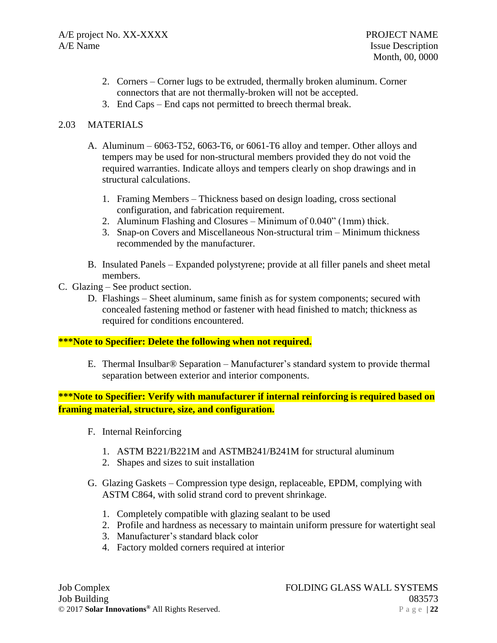- 2. Corners Corner lugs to be extruded, thermally broken aluminum. Corner connectors that are not thermally-broken will not be accepted.
- 3. End Caps End caps not permitted to breech thermal break.

# 2.03 MATERIALS

- A. Aluminum 6063-T52, 6063-T6, or 6061-T6 alloy and temper. Other alloys and tempers may be used for non-structural members provided they do not void the required warranties. Indicate alloys and tempers clearly on shop drawings and in structural calculations.
	- 1. Framing Members Thickness based on design loading, cross sectional configuration, and fabrication requirement.
	- 2. Aluminum Flashing and Closures Minimum of 0.040" (1mm) thick.
	- 3. Snap-on Covers and Miscellaneous Non-structural trim Minimum thickness recommended by the manufacturer.
- B. Insulated Panels Expanded polystyrene; provide at all filler panels and sheet metal members.
- C. Glazing See product section.
	- D. Flashings Sheet aluminum, same finish as for system components; secured with concealed fastening method or fastener with head finished to match; thickness as required for conditions encountered.

# **\*\*\*Note to Specifier: Delete the following when not required.**

E. Thermal Insulbar® Separation – Manufacturer's standard system to provide thermal separation between exterior and interior components.

# **\*\*\*Note to Specifier: Verify with manufacturer if internal reinforcing is required based on framing material, structure, size, and configuration.**

- F. Internal Reinforcing
	- 1. ASTM B221/B221M and ASTMB241/B241M for structural aluminum
	- 2. Shapes and sizes to suit installation
- G. Glazing Gaskets Compression type design, replaceable, EPDM, complying with ASTM C864, with solid strand cord to prevent shrinkage.
	- 1. Completely compatible with glazing sealant to be used
	- 2. Profile and hardness as necessary to maintain uniform pressure for watertight seal
	- 3. Manufacturer's standard black color
	- 4. Factory molded corners required at interior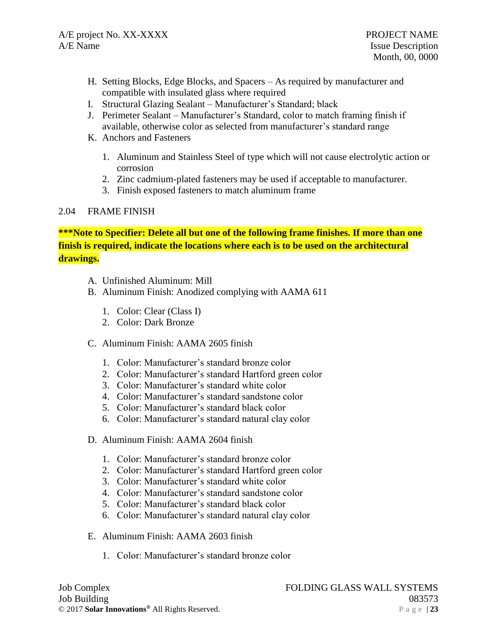- H. Setting Blocks, Edge Blocks, and Spacers As required by manufacturer and compatible with insulated glass where required
- I. Structural Glazing Sealant Manufacturer's Standard; black
- J. Perimeter Sealant Manufacturer's Standard, color to match framing finish if available, otherwise color as selected from manufacturer's standard range
- K. Anchors and Fasteners
	- 1. Aluminum and Stainless Steel of type which will not cause electrolytic action or corrosion
	- 2. Zinc cadmium-plated fasteners may be used if acceptable to manufacturer.
	- 3. Finish exposed fasteners to match aluminum frame

## 2.04 FRAME FINISH

**\*\*\*Note to Specifier: Delete all but one of the following frame finishes. If more than one finish is required, indicate the locations where each is to be used on the architectural drawings.**

- A. Unfinished Aluminum: Mill
- B. Aluminum Finish: Anodized complying with AAMA 611
	- 1. Color: Clear (Class I)
	- 2. Color: Dark Bronze
- C. Aluminum Finish: AAMA 2605 finish
	- 1. Color: Manufacturer's standard bronze color
	- 2. Color: Manufacturer's standard Hartford green color
	- 3. Color: Manufacturer's standard white color
	- 4. Color: Manufacturer's standard sandstone color
	- 5. Color: Manufacturer's standard black color
	- 6. Color: Manufacturer's standard natural clay color
- D. Aluminum Finish: AAMA 2604 finish
	- 1. Color: Manufacturer's standard bronze color
	- 2. Color: Manufacturer's standard Hartford green color
	- 3. Color: Manufacturer's standard white color
	- 4. Color: Manufacturer's standard sandstone color
	- 5. Color: Manufacturer's standard black color
	- 6. Color: Manufacturer's standard natural clay color
- E. Aluminum Finish: AAMA 2603 finish
	- 1. Color: Manufacturer's standard bronze color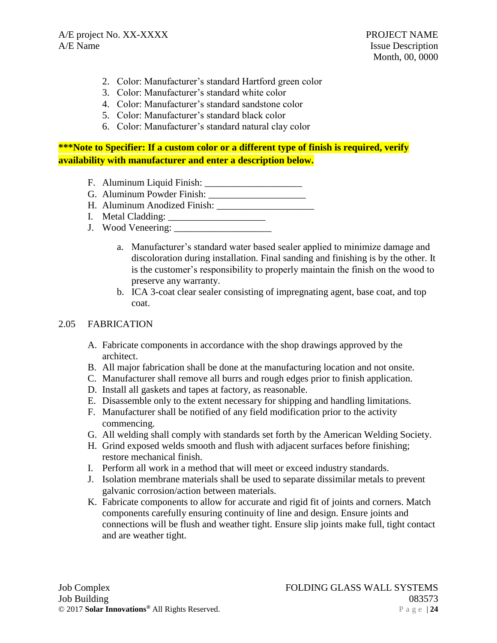- 2. Color: Manufacturer's standard Hartford green color
- 3. Color: Manufacturer's standard white color
- 4. Color: Manufacturer's standard sandstone color
- 5. Color: Manufacturer's standard black color
- 6. Color: Manufacturer's standard natural clay color

# **\*\*\*Note to Specifier: If a custom color or a different type of finish is required, verify availability with manufacturer and enter a description below.**

- F. Aluminum Liquid Finish: \_\_\_\_\_\_\_\_\_\_\_\_\_\_\_\_\_\_\_\_
- G. Aluminum Powder Finish: \_\_\_\_\_\_\_\_\_\_\_\_\_\_\_\_\_\_\_\_
- H. Aluminum Anodized Finish:
- I. Metal Cladding: \_\_\_\_\_\_\_\_\_\_\_\_\_\_\_\_\_\_\_\_
- J. Wood Veneering: \_\_\_\_\_\_\_\_\_\_\_\_\_\_\_\_\_\_\_\_
	- a. Manufacturer's standard water based sealer applied to minimize damage and discoloration during installation. Final sanding and finishing is by the other. It is the customer's responsibility to properly maintain the finish on the wood to preserve any warranty.
	- b. ICA 3-coat clear sealer consisting of impregnating agent, base coat, and top coat.

## 2.05 FABRICATION

- A. Fabricate components in accordance with the shop drawings approved by the architect.
- B. All major fabrication shall be done at the manufacturing location and not onsite.
- C. Manufacturer shall remove all burrs and rough edges prior to finish application.
- D. Install all gaskets and tapes at factory, as reasonable.
- E. Disassemble only to the extent necessary for shipping and handling limitations.
- F. Manufacturer shall be notified of any field modification prior to the activity commencing.
- G. All welding shall comply with standards set forth by the American Welding Society.
- H. Grind exposed welds smooth and flush with adjacent surfaces before finishing; restore mechanical finish.
- I. Perform all work in a method that will meet or exceed industry standards.
- J. Isolation membrane materials shall be used to separate dissimilar metals to prevent galvanic corrosion/action between materials.
- K. Fabricate components to allow for accurate and rigid fit of joints and corners. Match components carefully ensuring continuity of line and design. Ensure joints and connections will be flush and weather tight. Ensure slip joints make full, tight contact and are weather tight.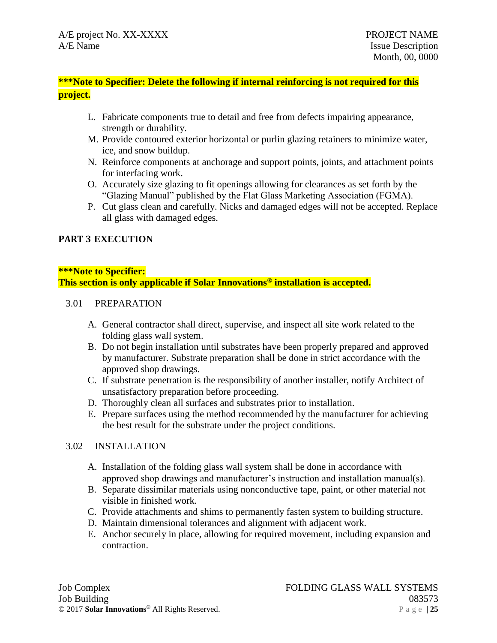**\*\*\*Note to Specifier: Delete the following if internal reinforcing is not required for this project.**

- L. Fabricate components true to detail and free from defects impairing appearance, strength or durability.
- M. Provide contoured exterior horizontal or purlin glazing retainers to minimize water, ice, and snow buildup.
- N. Reinforce components at anchorage and support points, joints, and attachment points for interfacing work.
- O. Accurately size glazing to fit openings allowing for clearances as set forth by the "Glazing Manual" published by the Flat Glass Marketing Association (FGMA).
- P. Cut glass clean and carefully. Nicks and damaged edges will not be accepted. Replace all glass with damaged edges.

# **PART 3 EXECUTION**

### **\*\*\*Note to Specifier:**

**This section is only applicable if Solar Innovations® installation is accepted.**

### 3.01 PREPARATION

- A. General contractor shall direct, supervise, and inspect all site work related to the folding glass wall system.
- B. Do not begin installation until substrates have been properly prepared and approved by manufacturer. Substrate preparation shall be done in strict accordance with the approved shop drawings.
- C. If substrate penetration is the responsibility of another installer, notify Architect of unsatisfactory preparation before proceeding.
- D. Thoroughly clean all surfaces and substrates prior to installation.
- E. Prepare surfaces using the method recommended by the manufacturer for achieving the best result for the substrate under the project conditions.

# 3.02 INSTALLATION

- A. Installation of the folding glass wall system shall be done in accordance with approved shop drawings and manufacturer's instruction and installation manual(s).
- B. Separate dissimilar materials using nonconductive tape, paint, or other material not visible in finished work.
- C. Provide attachments and shims to permanently fasten system to building structure.
- D. Maintain dimensional tolerances and alignment with adjacent work.
- E. Anchor securely in place, allowing for required movement, including expansion and contraction.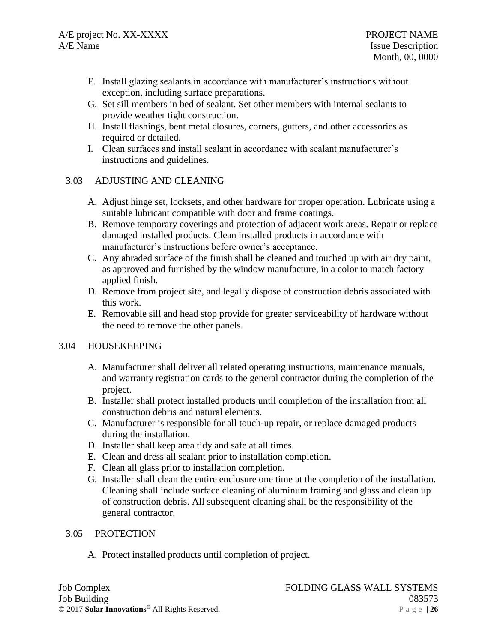- F. Install glazing sealants in accordance with manufacturer's instructions without exception, including surface preparations.
- G. Set sill members in bed of sealant. Set other members with internal sealants to provide weather tight construction.
- H. Install flashings, bent metal closures, corners, gutters, and other accessories as required or detailed.
- I. Clean surfaces and install sealant in accordance with sealant manufacturer's instructions and guidelines.

# 3.03 ADJUSTING AND CLEANING

- A. Adjust hinge set, locksets, and other hardware for proper operation. Lubricate using a suitable lubricant compatible with door and frame coatings.
- B. Remove temporary coverings and protection of adjacent work areas. Repair or replace damaged installed products. Clean installed products in accordance with manufacturer's instructions before owner's acceptance.
- C. Any abraded surface of the finish shall be cleaned and touched up with air dry paint, as approved and furnished by the window manufacture, in a color to match factory applied finish.
- D. Remove from project site, and legally dispose of construction debris associated with this work.
- E. Removable sill and head stop provide for greater serviceability of hardware without the need to remove the other panels.

# 3.04 HOUSEKEEPING

- A. Manufacturer shall deliver all related operating instructions, maintenance manuals, and warranty registration cards to the general contractor during the completion of the project.
- B. Installer shall protect installed products until completion of the installation from all construction debris and natural elements.
- C. Manufacturer is responsible for all touch-up repair, or replace damaged products during the installation.
- D. Installer shall keep area tidy and safe at all times.
- E. Clean and dress all sealant prior to installation completion.
- F. Clean all glass prior to installation completion.
- G. Installer shall clean the entire enclosure one time at the completion of the installation. Cleaning shall include surface cleaning of aluminum framing and glass and clean up of construction debris. All subsequent cleaning shall be the responsibility of the general contractor.

# 3.05 PROTECTION

A. Protect installed products until completion of project.